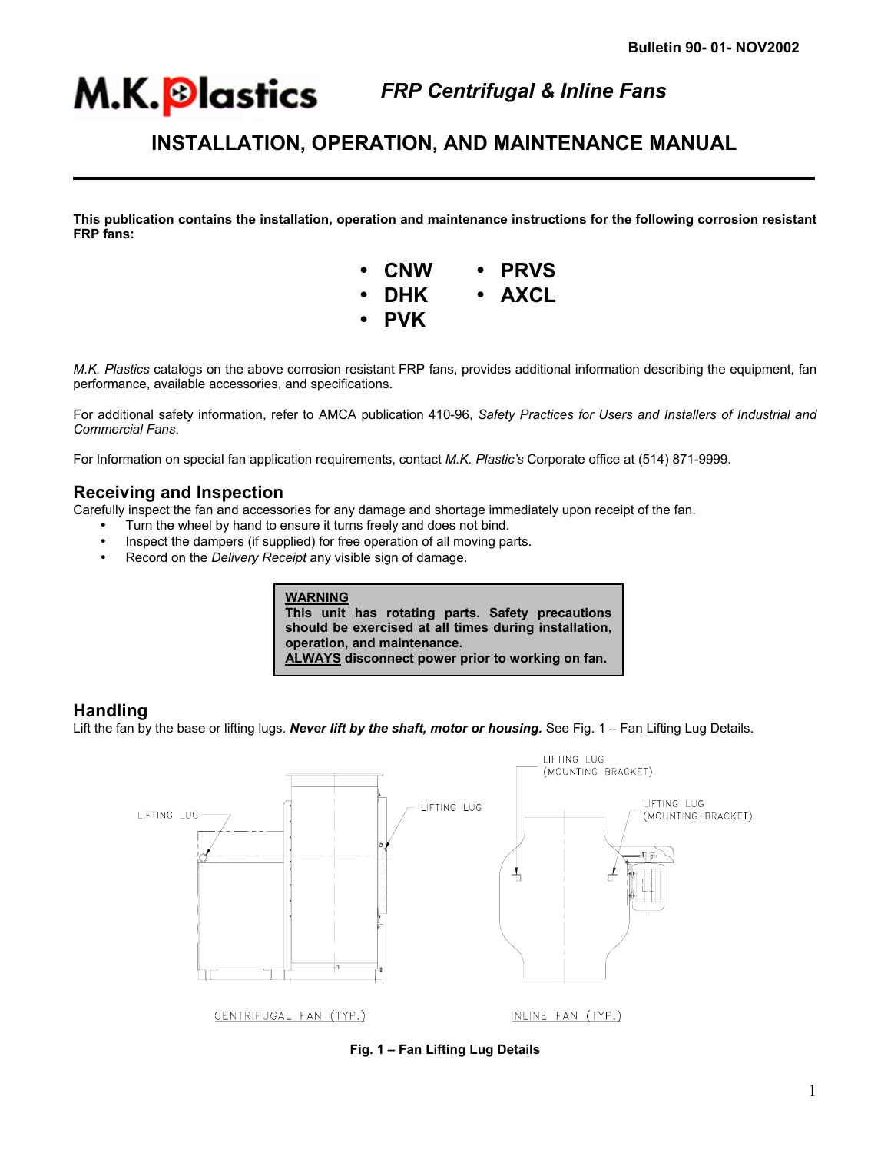### *FRP Centrifugal & Inline Fans*

## **INSTALLATION, OPERATION, AND MAINTENANCE MANUAL**

**This publication contains the installation, operation and maintenance instructions for the following corrosion resistant FRP fans:** 



*M.K. Plastics* catalogs on the above corrosion resistant FRP fans, provides additional information describing the equipment, fan performance, available accessories, and specifications.

For additional safety information, refer to AMCA publication 410-96, *Safety Practices for Users and Installers of Industrial and Commercial Fans*.

For Information on special fan application requirements, contact *M.K. Plastic's* Corporate office at (514) 871-9999.

### **Receiving and Inspection**

Carefully inspect the fan and accessories for any damage and shortage immediately upon receipt of the fan.

- Turn the wheel by hand to ensure it turns freely and does not bind.
- Inspect the dampers (if supplied) for free operation of all moving parts.
- Record on the *Delivery Receipt* any visible sign of damage.



### **Handling**

֦

Lift the fan by the base or lifting lugs. **Never lift by the shaft, motor or housing.** See Fig. 1 – Fan Lifting Lug Details.



**Fig. 1 – Fan Lifting Lug Details**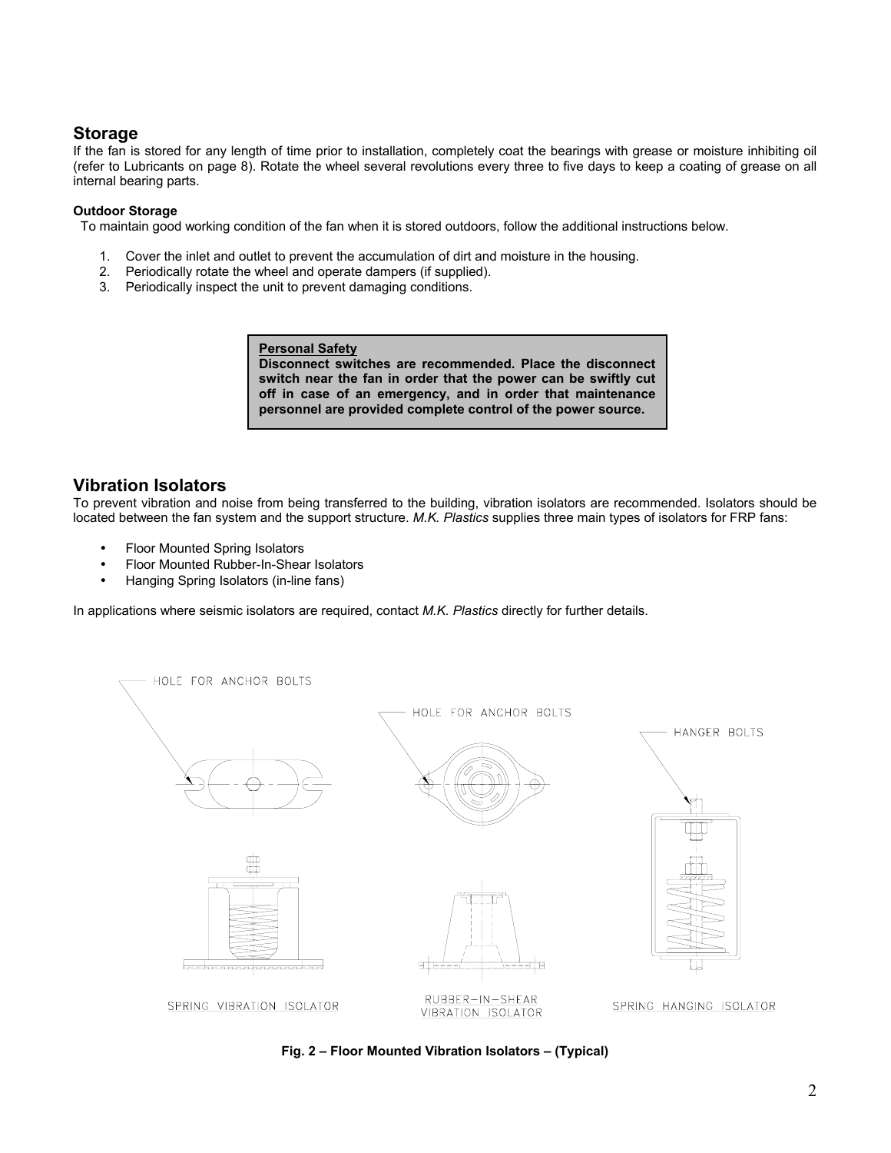### **Storage**

If the fan is stored for any length of time prior to installation, completely coat the bearings with grease or moisture inhibiting oil (refer to Lubricants on page 8). Rotate the wheel several revolutions every three to five days to keep a coating of grease on all internal bearing parts.

#### **Outdoor Storage**

To maintain good working condition of the fan when it is stored outdoors, follow the additional instructions below.

- 1. Cover the inlet and outlet to prevent the accumulation of dirt and moisture in the housing.
- 2. Periodically rotate the wheel and operate dampers (if supplied).
- 3. Periodically inspect the unit to prevent damaging conditions.

**Personal Safety**

**Disconnect switches are recommended. Place the disconnect switch near the fan in order that the power can be swiftly cut off in case of an emergency, and in order that maintenance personnel are provided complete control of the power source.**

### **Vibration Isolators**

To prevent vibration and noise from being transferred to the building, vibration isolators are recommended. Isolators should be located between the fan system and the support structure. *M.K. Plastics* supplies three main types of isolators for FRP fans:

- Floor Mounted Spring Isolators
- Floor Mounted Rubber-In-Shear Isolators
- Hanging Spring Isolators (in-line fans)

In applications where seismic isolators are required, contact *M.K. Plastics* directly for further details.



**Fig. 2 – Floor Mounted Vibration Isolators – (Typical)**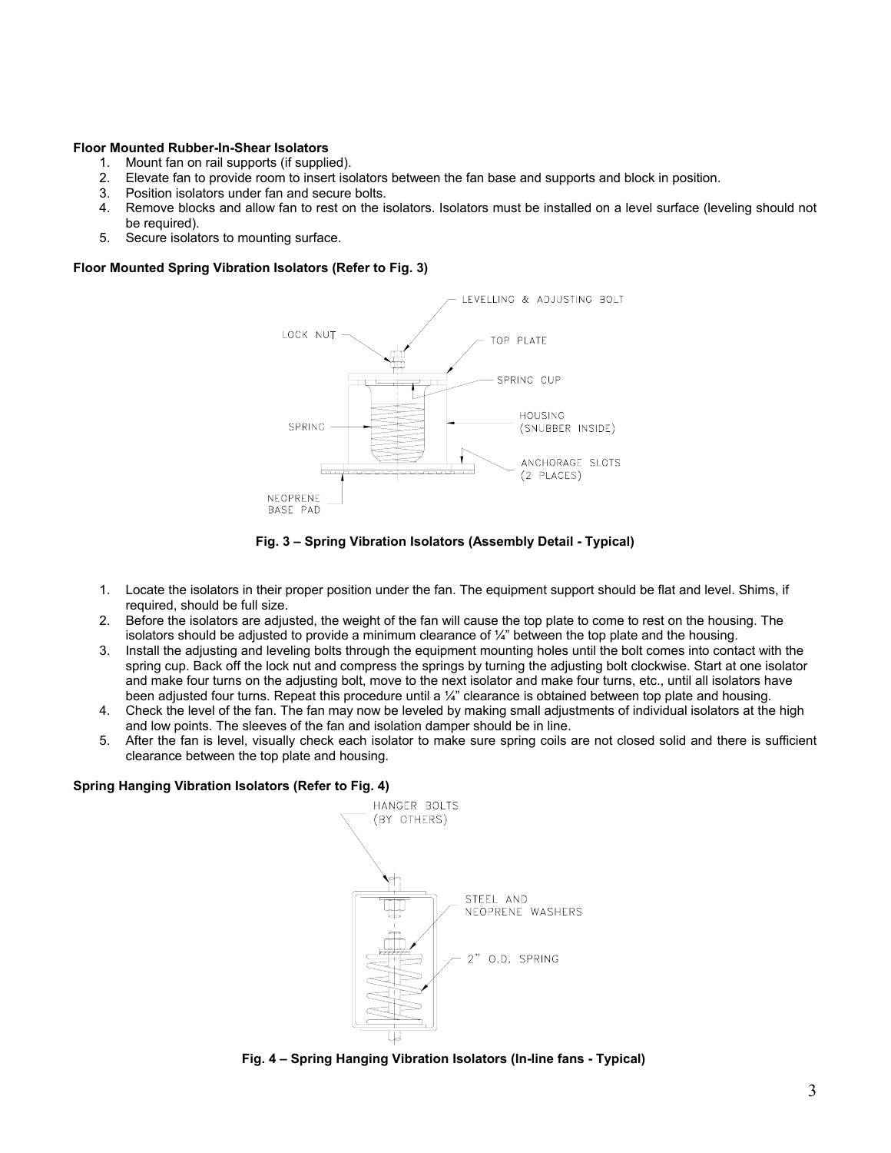#### **Floor Mounted Rubber-In-Shear Isolators**

- 1. Mount fan on rail supports (if supplied).
- 2. Elevate fan to provide room to insert isolators between the fan base and supports and block in position.
- 3. Position isolators under fan and secure bolts.
- 4. Remove blocks and allow fan to rest on the isolators. Isolators must be installed on a level surface (leveling should not be required).
- 5. Secure isolators to mounting surface.

#### **Floor Mounted Spring Vibration Isolators (Refer to Fig. 3)**



**Fig. 3 – Spring Vibration Isolators (Assembly Detail - Typical)** 

- 1. Locate the isolators in their proper position under the fan. The equipment support should be flat and level. Shims, if required, should be full size.
- 2. Before the isolators are adjusted, the weight of the fan will cause the top plate to come to rest on the housing. The isolators should be adjusted to provide a minimum clearance of  $\mathcal{U}$ " between the top plate and the housing.
- 3. Install the adjusting and leveling bolts through the equipment mounting holes until the bolt comes into contact with the spring cup. Back off the lock nut and compress the springs by turning the adjusting bolt clockwise. Start at one isolator and make four turns on the adjusting bolt, move to the next isolator and make four turns, etc., until all isolators have been adjusted four turns. Repeat this procedure until a ¼" clearance is obtained between top plate and housing.
- 4. Check the level of the fan. The fan may now be leveled by making small adjustments of individual isolators at the high and low points. The sleeves of the fan and isolation damper should be in line.
- 5. After the fan is level, visually check each isolator to make sure spring coils are not closed solid and there is sufficient clearance between the top plate and housing.

#### **Spring Hanging Vibration Isolators (Refer to Fig. 4)**



 **Fig. 4 – Spring Hanging Vibration Isolators (In-line fans - Typical)**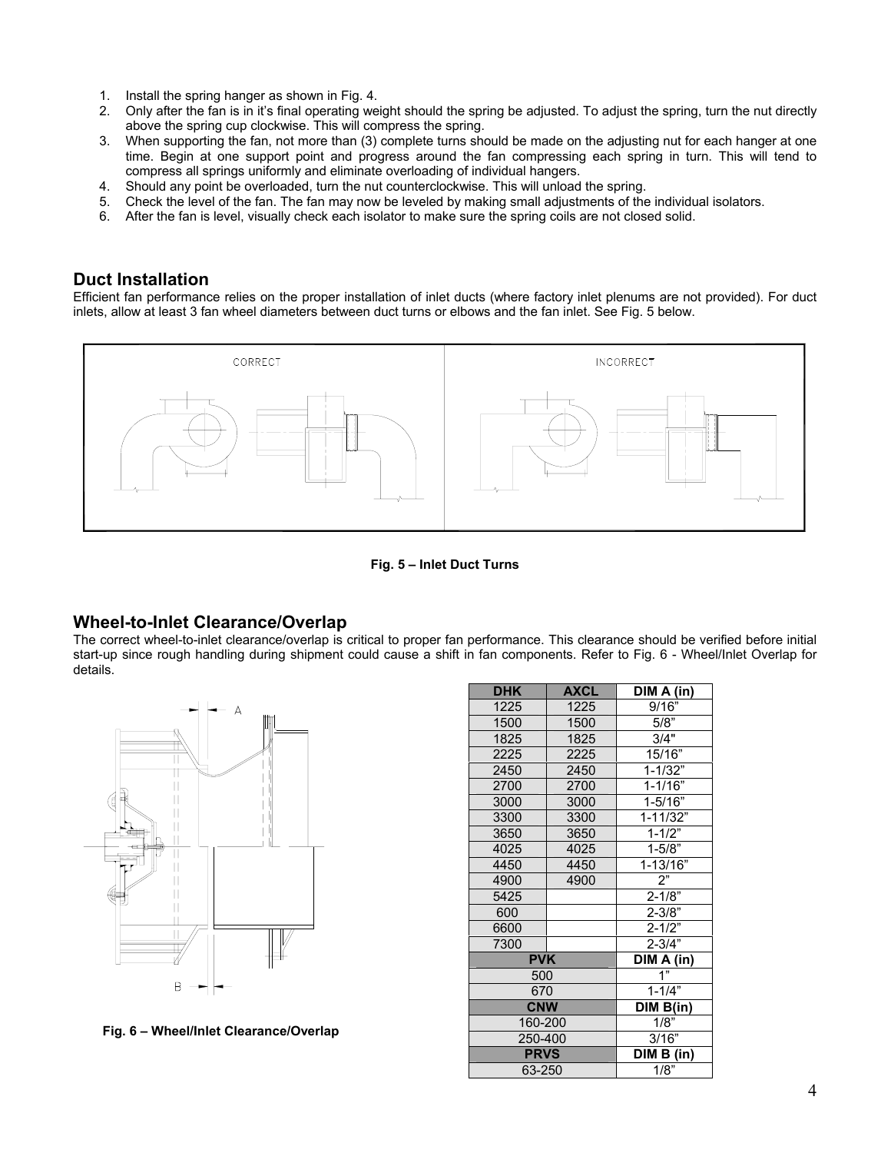- 1. Install the spring hanger as shown in Fig. 4.
- 2. Only after the fan is in it's final operating weight should the spring be adjusted. To adjust the spring, turn the nut directly above the spring cup clockwise. This will compress the spring.
- 3. When supporting the fan, not more than (3) complete turns should be made on the adjusting nut for each hanger at one time. Begin at one support point and progress around the fan compressing each spring in turn. This will tend to compress all springs uniformly and eliminate overloading of individual hangers.
- 4. Should any point be overloaded, turn the nut counterclockwise. This will unload the spring.
- 5. Check the level of the fan. The fan may now be leveled by making small adjustments of the individual isolators.
- 6. After the fan is level, visually check each isolator to make sure the spring coils are not closed solid.

### **Duct Installation**

Efficient fan performance relies on the proper installation of inlet ducts (where factory inlet plenums are not provided). For duct inlets, allow at least 3 fan wheel diameters between duct turns or elbows and the fan inlet. See Fig. 5 below.



**Fig. 5 – Inlet Duct Turns**

### **Wheel-to-Inlet Clearance/Overlap**

The correct wheel-to-inlet clearance/overlap is critical to proper fan performance. This clearance should be verified before initial start-up since rough handling during shipment could cause a shift in fan components. Refer to Fig. 6 - Wheel/Inlet Overlap for details.



 **Fig. 6 – Wheel/Inlet Clearance/Overlap** 

| <b>DHK</b>  | <b>AXCL</b> | DIM A (in)   |  |
|-------------|-------------|--------------|--|
| 1225        | 1225        | 9/16"        |  |
| 1500        | 1500        | 5/8          |  |
| 1825        | 1825        | 3/4"         |  |
| 2225        | 2225        | 15/16"       |  |
| 2450        | 2450        | $1 - 1/32"$  |  |
| 2700        | 2700        | $1 - 1/16"$  |  |
| 3000        | 3000        | $1 - 5/16"$  |  |
| 3300        | 3300        | 1-11/32"     |  |
| 3650        | 3650        | $1 - 1/2"$   |  |
| 4025        | 4025        | $1 - 5/8"$   |  |
| 4450        | 4450        | $1 - 13/16"$ |  |
| 4900        | 4900        | 2"           |  |
| 5425        |             | $2 - 1/8"$   |  |
| 600         |             | $2 - 3/8"$   |  |
| 6600        |             | $2 - 1/2"$   |  |
| 7300        |             | $2 - 3/4"$   |  |
| <b>PVK</b>  | DIM A (in)  |              |  |
| 500         | 1"          |              |  |
| 670         | $1 - 1/4"$  |              |  |
| <b>CNW</b>  | DIM B(in)   |              |  |
| 160-200     | 1/8"        |              |  |
| 250-400     | 3/16"       |              |  |
| <b>PRVS</b> | DIM B (in)  |              |  |
| 63-250      | 1/8"        |              |  |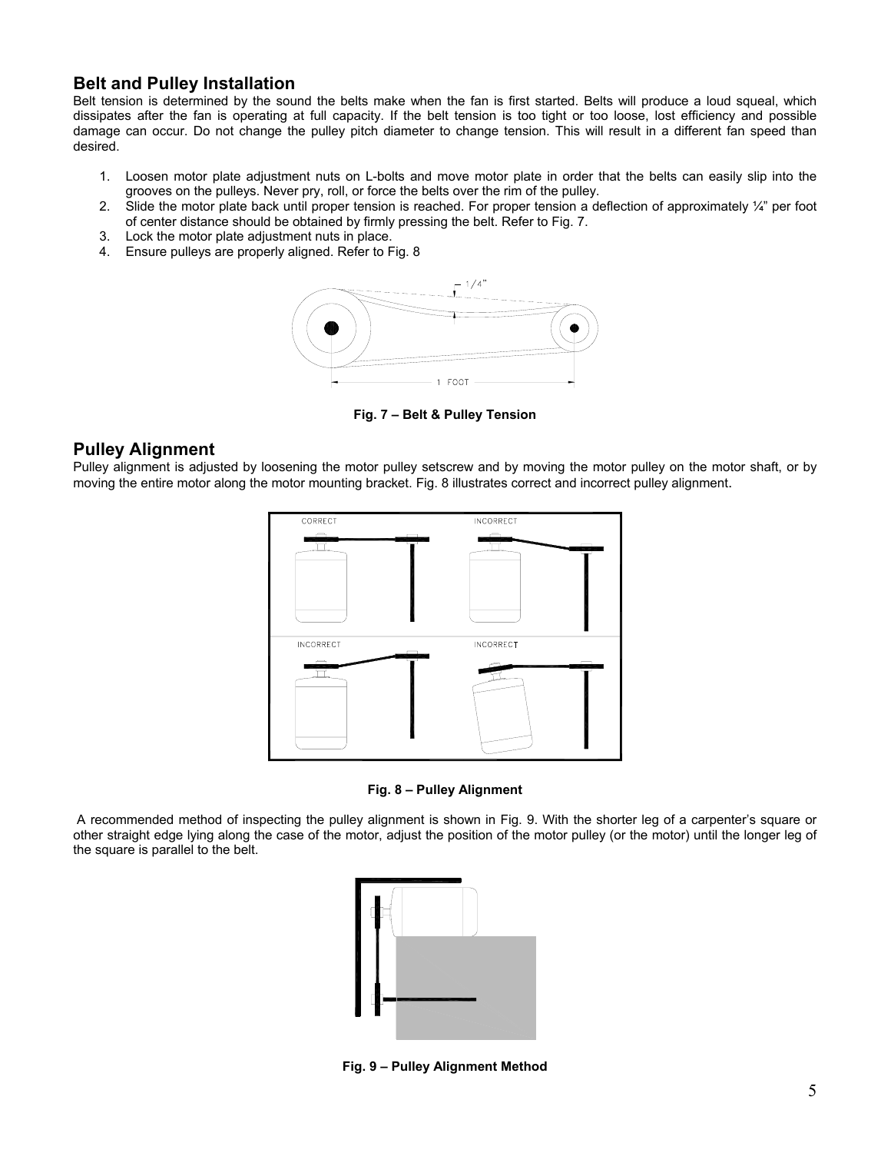### **Belt and Pulley Installation**

Belt tension is determined by the sound the belts make when the fan is first started. Belts will produce a loud squeal, which dissipates after the fan is operating at full capacity. If the belt tension is too tight or too loose, lost efficiency and possible damage can occur. Do not change the pulley pitch diameter to change tension. This will result in a different fan speed than desired.

- 1. Loosen motor plate adjustment nuts on L-bolts and move motor plate in order that the belts can easily slip into the grooves on the pulleys. Never pry, roll, or force the belts over the rim of the pulley.
- 2. Slide the motor plate back until proper tension is reached. For proper tension a deflection of approximately ¼" per foot of center distance should be obtained by firmly pressing the belt. Refer to Fig. 7.
- 3. Lock the motor plate adjustment nuts in place.
- 4. Ensure pulleys are properly aligned. Refer to Fig. 8



**Fig. 7 – Belt & Pulley Tension** 

### **Pulley Alignment**

Pulley alignment is adjusted by loosening the motor pulley setscrew and by moving the motor pulley on the motor shaft, or by moving the entire motor along the motor mounting bracket. Fig. 8 illustrates correct and incorrect pulley alignment.



**Fig. 8 – Pulley Alignment** 

A recommended method of inspecting the pulley alignment is shown in Fig. 9. With the shorter leg of a carpenter's square or other straight edge lying along the case of the motor, adjust the position of the motor pulley (or the motor) until the longer leg of the square is parallel to the belt.



**Fig. 9 – Pulley Alignment Method**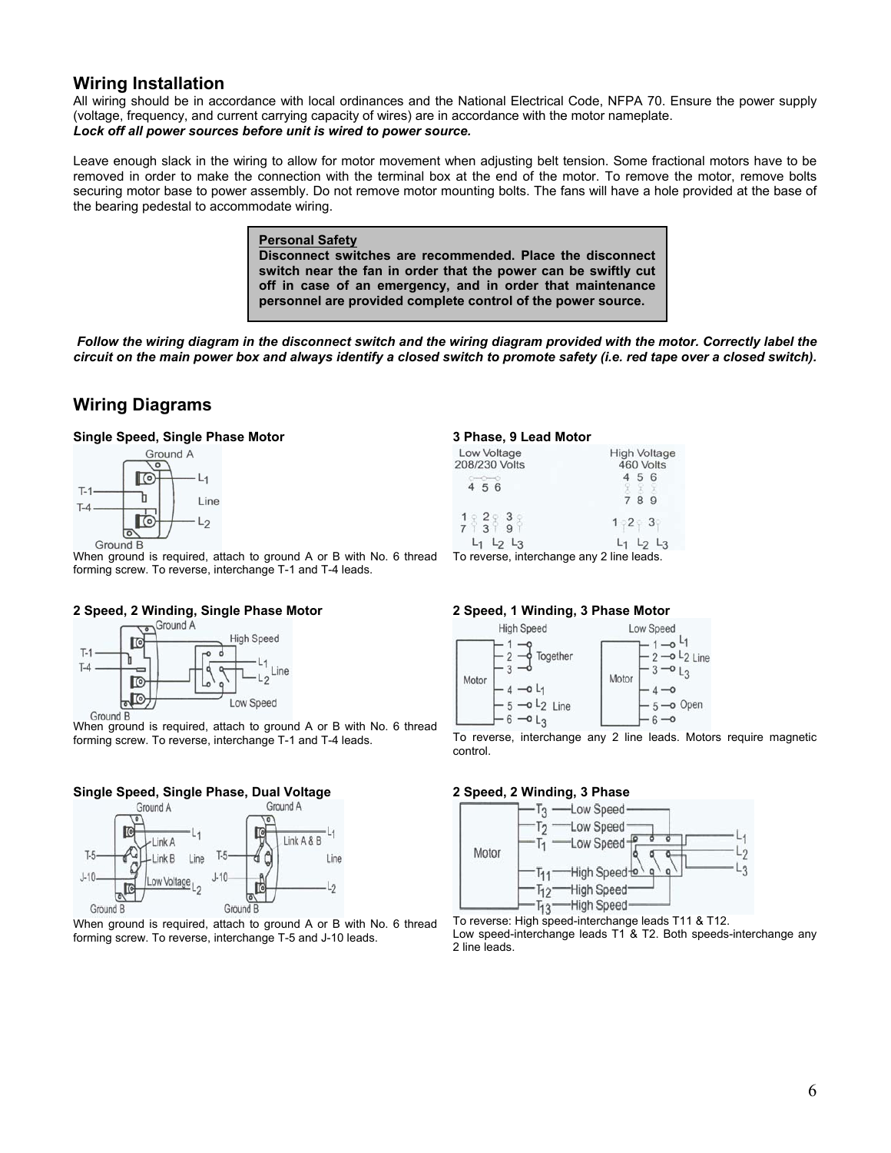### **Wiring Installation**

All wiring should be in accordance with local ordinances and the National Electrical Code, NFPA 70. Ensure the power supply (voltage, frequency, and current carrying capacity of wires) are in accordance with the motor nameplate. *Lock off all power sources before unit is wired to power source.* 

Leave enough slack in the wiring to allow for motor movement when adjusting belt tension. Some fractional motors have to be removed in order to make the connection with the terminal box at the end of the motor. To remove the motor, remove bolts securing motor base to power assembly. Do not remove motor mounting bolts. The fans will have a hole provided at the base of the bearing pedestal to accommodate wiring.

#### **Personal Safety Disconnect switches are recommended. Place the disconnect switch near the fan in order that the power can be swiftly cut off in case of an emergency, and in order that maintenance personnel are provided complete control of the power source.**

*Follow the wiring diagram in the disconnect switch and the wiring diagram provided with the motor. Correctly label the circuit on the main power box and always identify a closed switch to promote safety (i.e. red tape over a closed switch).* 

### **Wiring Diagrams**

#### **Single Speed, Single Phase Motor**



When ground is required, attach to ground A or B with No. 6 thread forming screw. To reverse, interchange T-1 and T-4 leads.

## **2 Speed, 2 Winding, Single Phase Motor**<br> **Cond A**



When ground is required, attach to ground A or B with No. 6 thread forming screw. To reverse, interchange T-1 and T-4 leads.

#### **Single Speed, Single Phase, Dual Voltage**



When ground is required, attach to ground A or B with No. 6 thread forming screw. To reverse, interchange T-5 and J-10 leads.

#### **3 Phase, 9 Lead Motor**

| Low Voltage                   | High Voltage     |  |
|-------------------------------|------------------|--|
| 208/230 Volts                 | 460 Volts        |  |
| 4 5 6                         | 56<br>7 8<br>-9  |  |
| 782838                        | $1 - 2 - 3$      |  |
| $L_2$ $L_3$                   | L3               |  |
| The process of the forest and | $0.114 \pm 1.14$ |  |

To reverse, interchange any 2 line leads.

#### **2 Speed, 1 Winding, 3 Phase Motor**



To reverse, interchange any 2 line leads. Motors require magnetic control.

#### **2 Speed, 2 Winding, 3 Phase**



To reverse: High speed-interchange leads T11 & T12. Low speed-interchange leads T1 & T2. Both speeds-interchange any 2 line leads.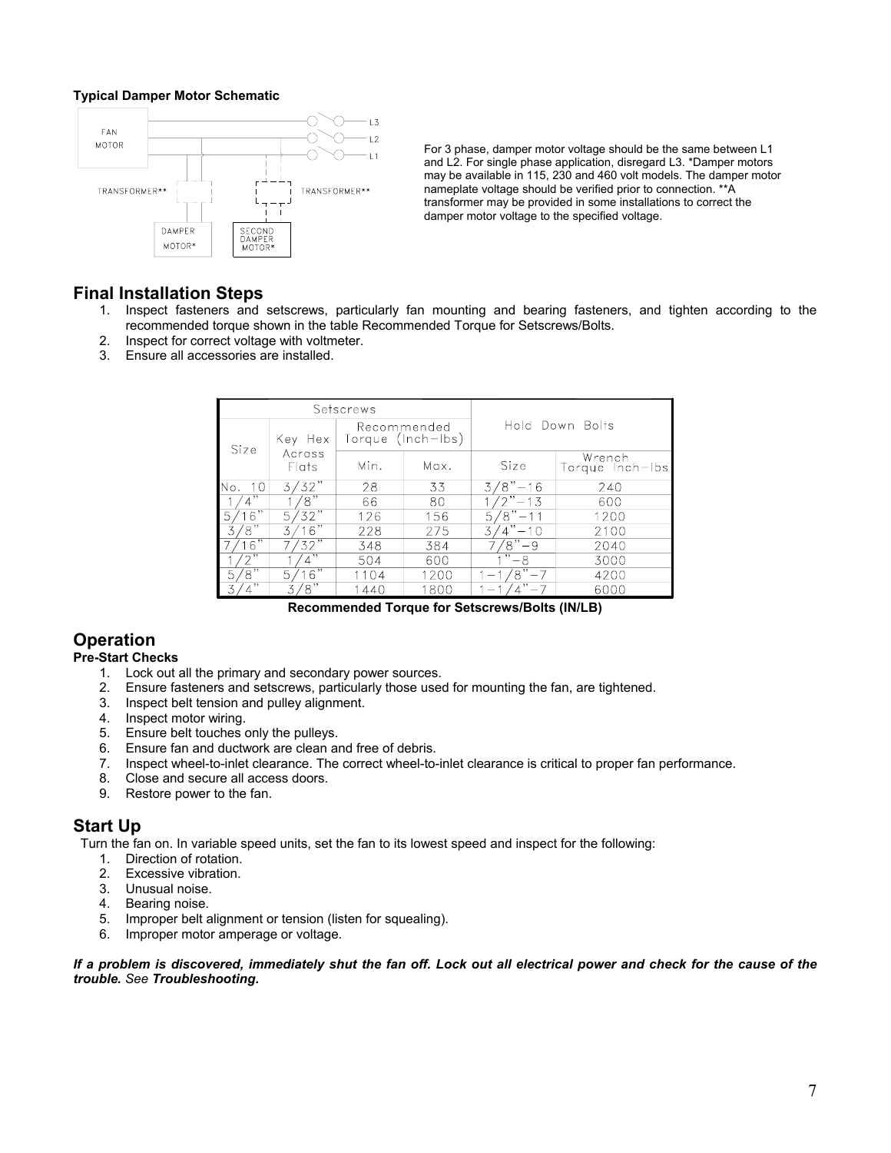#### **Typical Damper Motor Schematic**



For 3 phase, damper motor voltage should be the same between L1 and L2. For single phase application, disregard L3. \*Damper motors may be available in 115, 230 and 460 volt models. The damper motor nameplate voltage should be verified prior to connection. \*\*A transformer may be provided in some installations to correct the damper motor voltage to the specified voltage.

### **Final Installation Steps**

- 1. Inspect fasteners and setscrews, particularly fan mounting and bearing fasteners, and tighten according to the recommended torque shown in the table Recommended Torque for Setscrews/Bolts.
- 2. Inspect for correct voltage with voltmeter.
- 3. Ensure all accessories are installed.

| Setscrews    |                   |                                  |      |                   |                           |
|--------------|-------------------|----------------------------------|------|-------------------|---------------------------|
| Size         | Key Hex           | Recommended<br>Torque (Inch-Ibs) |      | Hold Down Bolts   |                           |
|              | Across<br>Flats   | Min.                             | Max. | Size              | Wrench<br>Torque Inch-Ibs |
| 10<br>lNo.   | '32"              | 28                               | 33   | 8"-16<br>3        | 240                       |
| ,,           | $\mathbf{S}^n$    | 66                               | 80   | $\sqrt{2}$ " – 13 | 600                       |
| 16"<br>5     | 732"<br>5,        | 126                              | 156  | $8" - 11$<br>57   | 1200                      |
| .8"          | 16"               | 228                              | 275  | 3<br>$-10$        | 2100                      |
| .6"          | $\overline{32}$ " | 348                              | 384  | 'ร"<br>-9         | 2040                      |
| ຳ            | ,,,               | 504                              | 600  | ,,<br>-8          | 3000                      |
| '8"<br>5     | 16"<br>5          | 1104                             | 1200 | '8"               | 4200                      |
| $^{\bullet}$ | $\sqrt{8}$<br>3   | 1440                             | 1800 |                   | 6000                      |

**Recommended Torque for Setscrews/Bolts (IN/LB)** 

### **Operation**

#### **Pre-Start Checks**

- 1. Lock out all the primary and secondary power sources.
- 2. Ensure fasteners and setscrews, particularly those used for mounting the fan, are tightened.
- 3. Inspect belt tension and pulley alignment.
- 4. Inspect motor wiring.
- 5. Ensure belt touches only the pulleys.
- 6. Ensure fan and ductwork are clean and free of debris.
- 7. Inspect wheel-to-inlet clearance. The correct wheel-to-inlet clearance is critical to proper fan performance.
- 8. Close and secure all access doors.
- 9. Restore power to the fan.

### **Start Up**

Turn the fan on. In variable speed units, set the fan to its lowest speed and inspect for the following:

- 1. Direction of rotation.
- 2. Excessive vibration.
- 3. Unusual noise.
- 4. Bearing noise.
- 5. Improper belt alignment or tension (listen for squealing).
- 6. Improper motor amperage or voltage.

#### *If a problem is discovered, immediately shut the fan off. Lock out all electrical power and check for the cause of the trouble. See Troubleshooting.*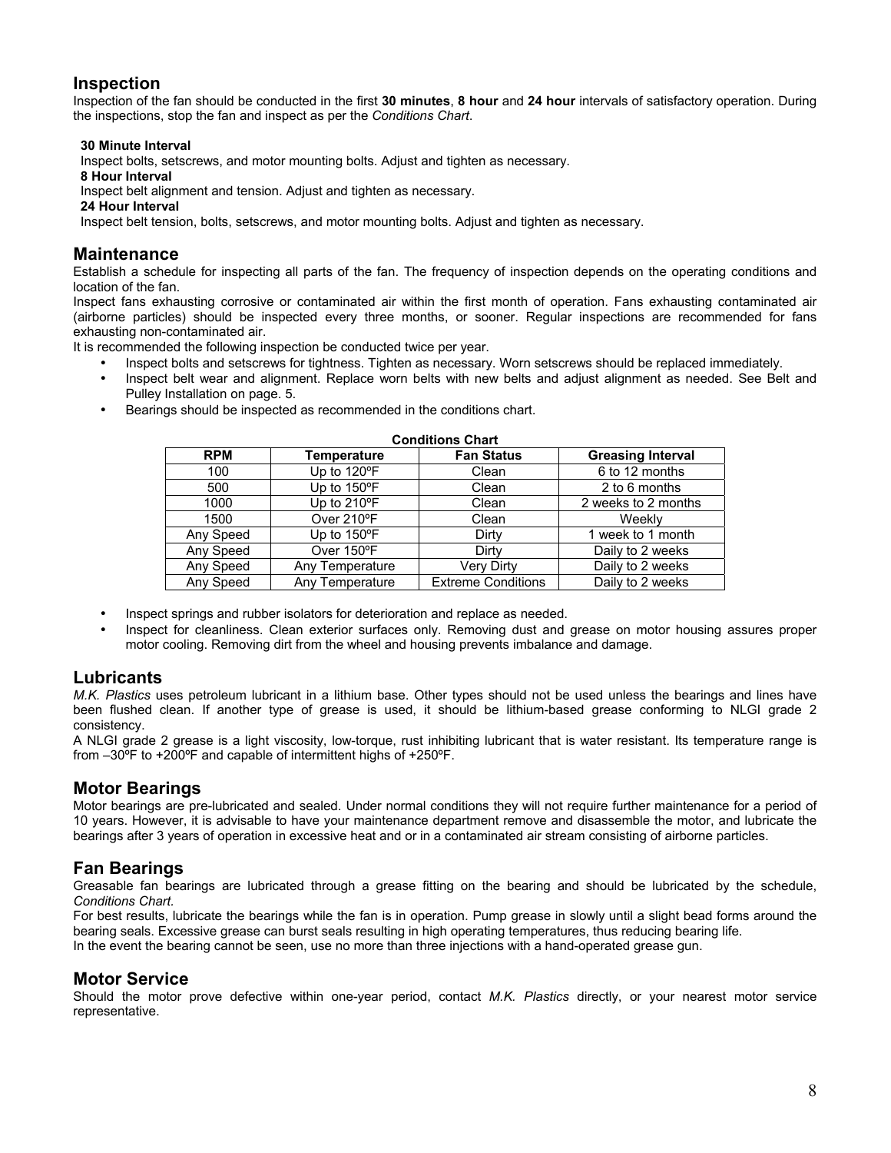### **Inspection**

Inspection of the fan should be conducted in the first **30 minutes**, **8 hour** and **24 hour** intervals of satisfactory operation. During the inspections, stop the fan and inspect as per the *Conditions Chart*.

#### **30 Minute Interval**

Inspect bolts, setscrews, and motor mounting bolts. Adjust and tighten as necessary.

 **8 Hour Interval** 

Inspect belt alignment and tension. Adjust and tighten as necessary.

#### **24 Hour Interval**

Inspect belt tension, bolts, setscrews, and motor mounting bolts. Adjust and tighten as necessary.

### **Maintenance**

Establish a schedule for inspecting all parts of the fan. The frequency of inspection depends on the operating conditions and location of the fan.

Inspect fans exhausting corrosive or contaminated air within the first month of operation. Fans exhausting contaminated air (airborne particles) should be inspected every three months, or sooner. Regular inspections are recommended for fans exhausting non-contaminated air.

It is recommended the following inspection be conducted twice per year.

- Inspect bolts and setscrews for tightness. Tighten as necessary. Worn setscrews should be replaced immediately.
- Inspect belt wear and alignment. Replace worn belts with new belts and adjust alignment as needed. See Belt and Pulley Installation on page. 5.
- Bearings should be inspected as recommended in the conditions chart.

| <b>Conditions Chart</b> |                       |                           |                          |  |  |  |
|-------------------------|-----------------------|---------------------------|--------------------------|--|--|--|
| <b>RPM</b>              | Temperature           | <b>Fan Status</b>         | <b>Greasing Interval</b> |  |  |  |
| 100                     | Up to 120°F           | Clean                     | 6 to 12 months           |  |  |  |
| 500                     | Up to $150^{\circ}$ F | Clean                     | 2 to 6 months            |  |  |  |
| 1000                    | Up to 210°F           | Clean                     | 2 weeks to 2 months      |  |  |  |
| 1500                    | Over 210°F            | Clean                     | Weekly                   |  |  |  |
| Any Speed               | Up to 150°F           | Dirty                     | 1 week to 1 month        |  |  |  |
| Any Speed               | Over 150°F            | Dirty                     | Daily to 2 weeks         |  |  |  |
| Any Speed               | Any Temperature       | Very Dirty                | Daily to 2 weeks         |  |  |  |
| Any Speed               | Any Temperature       | <b>Extreme Conditions</b> | Daily to 2 weeks         |  |  |  |

- Inspect springs and rubber isolators for deterioration and replace as needed.
- Inspect for cleanliness. Clean exterior surfaces only. Removing dust and grease on motor housing assures proper motor cooling. Removing dirt from the wheel and housing prevents imbalance and damage.

### **Lubricants**

*M.K. Plastics* uses petroleum lubricant in a lithium base. Other types should not be used unless the bearings and lines have been flushed clean. If another type of grease is used, it should be lithium-based grease conforming to NLGI grade 2 consistency.

A NLGI grade 2 grease is a light viscosity, low-torque, rust inhibiting lubricant that is water resistant. Its temperature range is from –30ºF to +200ºF and capable of intermittent highs of +250ºF.

### **Motor Bearings**

Motor bearings are pre-lubricated and sealed. Under normal conditions they will not require further maintenance for a period of 10 years. However, it is advisable to have your maintenance department remove and disassemble the motor, and lubricate the bearings after 3 years of operation in excessive heat and or in a contaminated air stream consisting of airborne particles.

### **Fan Bearings**

Greasable fan bearings are lubricated through a grease fitting on the bearing and should be lubricated by the schedule, *Conditions Chart.* 

For best results, lubricate the bearings while the fan is in operation. Pump grease in slowly until a slight bead forms around the bearing seals. Excessive grease can burst seals resulting in high operating temperatures, thus reducing bearing life. In the event the bearing cannot be seen, use no more than three injections with a hand-operated grease gun.

### **Motor Service**

Should the motor prove defective within one-year period, contact *M.K. Plastics* directly, or your nearest motor service representative.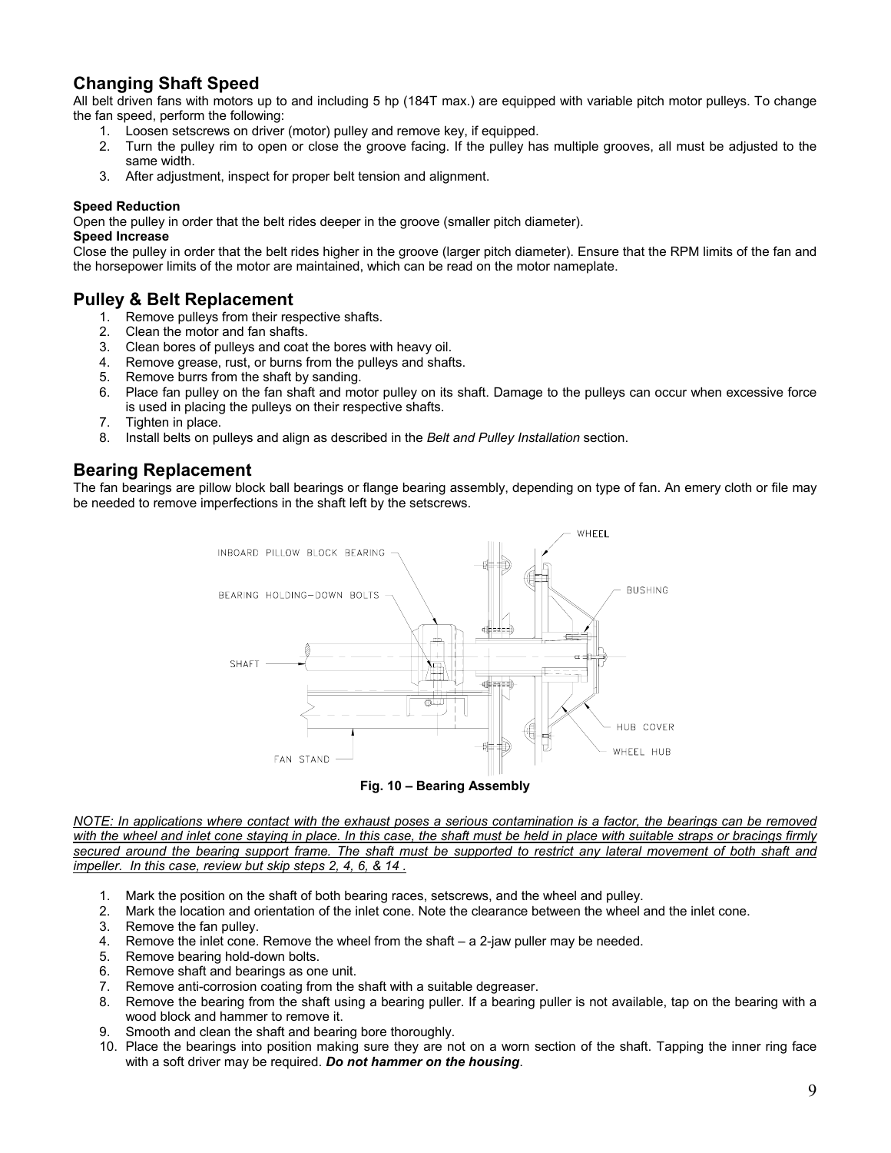### **Changing Shaft Speed**

All belt driven fans with motors up to and including 5 hp (184T max.) are equipped with variable pitch motor pulleys. To change the fan speed, perform the following:

- 1. Loosen setscrews on driver (motor) pulley and remove key, if equipped.
- 2. Turn the pulley rim to open or close the groove facing. If the pulley has multiple grooves, all must be adjusted to the same width.
- 3. After adjustment, inspect for proper belt tension and alignment.

#### **Speed Reduction**

Open the pulley in order that the belt rides deeper in the groove (smaller pitch diameter).

#### **Speed Increase**

Close the pulley in order that the belt rides higher in the groove (larger pitch diameter). Ensure that the RPM limits of the fan and the horsepower limits of the motor are maintained, which can be read on the motor nameplate.

# **Pulley & Belt Replacement**<br>1. Remove pulleys from their res

- Remove pulleys from their respective shafts.
- 2. Clean the motor and fan shafts.
- 3. Clean bores of pulleys and coat the bores with heavy oil.
- 4. Remove grease, rust, or burns from the pulleys and shafts.
- 5. Remove burrs from the shaft by sanding.
- 6. Place fan pulley on the fan shaft and motor pulley on its shaft. Damage to the pulleys can occur when excessive force is used in placing the pulleys on their respective shafts.
- 7. Tighten in place.
- 8. Install belts on pulleys and align as described in the *Belt and Pulley Installation* section.

### **Bearing Replacement**

The fan bearings are pillow block ball bearings or flange bearing assembly, depending on type of fan. An emery cloth or file may be needed to remove imperfections in the shaft left by the setscrews.



*NOTE: In applications where contact with the exhaust poses a serious contamination is a factor, the bearings can be removed*  with the wheel and inlet cone staying in place. In this case, the shaft must be held in place with suitable straps or bracings firmly *secured around the bearing support frame. The shaft must be supported to restrict any lateral movement of both shaft and impeller. In this case, review but skip steps 2, 4, 6, & 14 .*

- 1. Mark the position on the shaft of both bearing races, setscrews, and the wheel and pulley.
- 2. Mark the location and orientation of the inlet cone. Note the clearance between the wheel and the inlet cone.
- 3. Remove the fan pulley.
- 4. Remove the inlet cone. Remove the wheel from the shaft a 2-jaw puller may be needed.
- 5. Remove bearing hold-down bolts.
- 6. Remove shaft and bearings as one unit.
- 7. Remove anti-corrosion coating from the shaft with a suitable degreaser.
- 8. Remove the bearing from the shaft using a bearing puller. If a bearing puller is not available, tap on the bearing with a wood block and hammer to remove it.
- 9. Smooth and clean the shaft and bearing bore thoroughly.
- 10. Place the bearings into position making sure they are not on a worn section of the shaft. Tapping the inner ring face with a soft driver may be required. *Do not hammer on the housing*.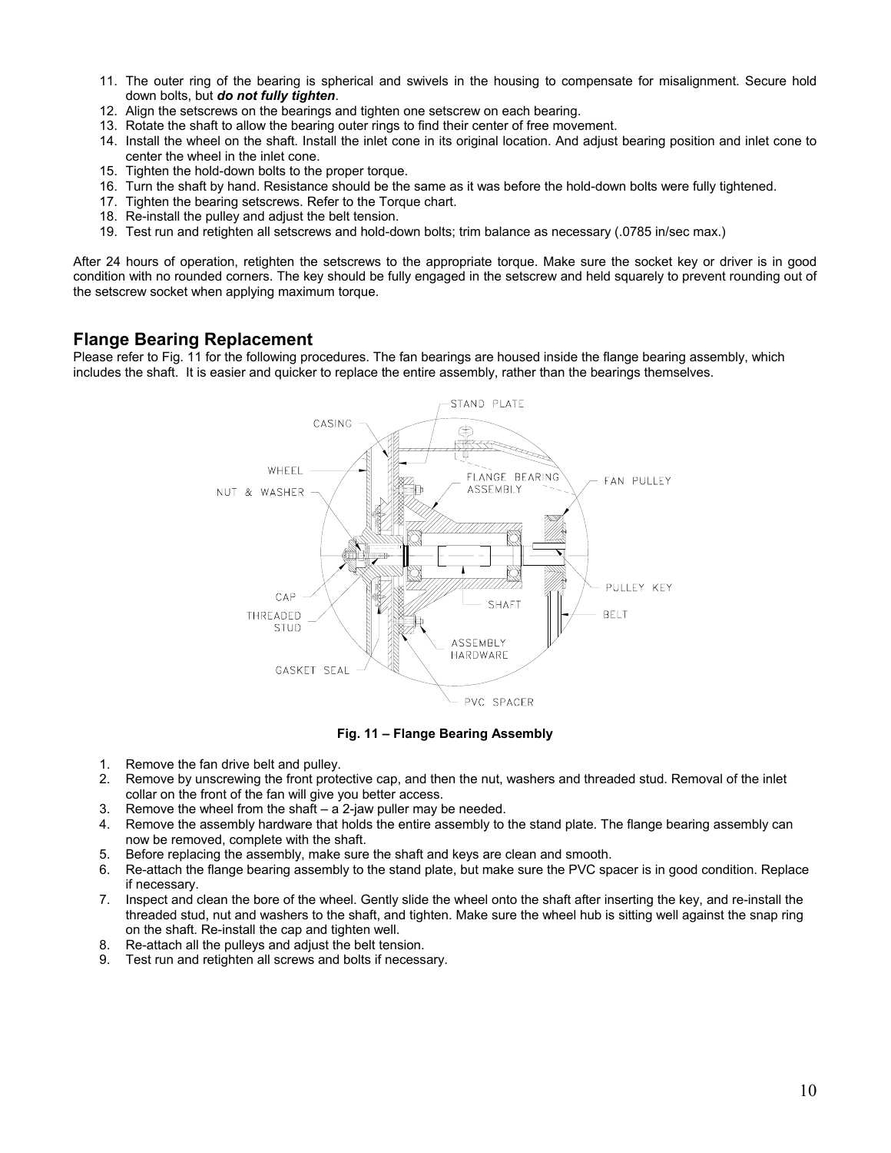- 11. The outer ring of the bearing is spherical and swivels in the housing to compensate for misalignment. Secure hold down bolts, but *do not fully tighten*.
- 12. Align the setscrews on the bearings and tighten one setscrew on each bearing.
- 13. Rotate the shaft to allow the bearing outer rings to find their center of free movement.
- 14. Install the wheel on the shaft. Install the inlet cone in its original location. And adjust bearing position and inlet cone to center the wheel in the inlet cone.
- 15. Tighten the hold-down bolts to the proper torque.
- 16. Turn the shaft by hand. Resistance should be the same as it was before the hold-down bolts were fully tightened.
- 17. Tighten the bearing setscrews. Refer to the Torque chart.
- 18. Re-install the pulley and adjust the belt tension.
- 19. Test run and retighten all setscrews and hold-down bolts; trim balance as necessary (.0785 in/sec max.)

After 24 hours of operation, retighten the setscrews to the appropriate torque. Make sure the socket key or driver is in good condition with no rounded corners. The key should be fully engaged in the setscrew and held squarely to prevent rounding out of the setscrew socket when applying maximum torque.

#### **Flange Bearing Replacement**

Please refer to Fig. 11 for the following procedures. The fan bearings are housed inside the flange bearing assembly, which includes the shaft. It is easier and quicker to replace the entire assembly, rather than the bearings themselves.



**Fig. 11 – Flange Bearing Assembly**

- 1. Remove the fan drive belt and pulley.
- 2. Remove by unscrewing the front protective cap, and then the nut, washers and threaded stud. Removal of the inlet collar on the front of the fan will give you better access.
- 3. Remove the wheel from the shaft  $a 2$ -jaw puller may be needed.
- 4. Remove the assembly hardware that holds the entire assembly to the stand plate. The flange bearing assembly can now be removed, complete with the shaft.
- 5. Before replacing the assembly, make sure the shaft and keys are clean and smooth.
- 6. Re-attach the flange bearing assembly to the stand plate, but make sure the PVC spacer is in good condition. Replace if necessary.
- 7. Inspect and clean the bore of the wheel. Gently slide the wheel onto the shaft after inserting the key, and re-install the threaded stud, nut and washers to the shaft, and tighten. Make sure the wheel hub is sitting well against the snap ring on the shaft. Re-install the cap and tighten well.
- 8. Re-attach all the pulleys and adjust the belt tension.
- 9. Test run and retighten all screws and bolts if necessary.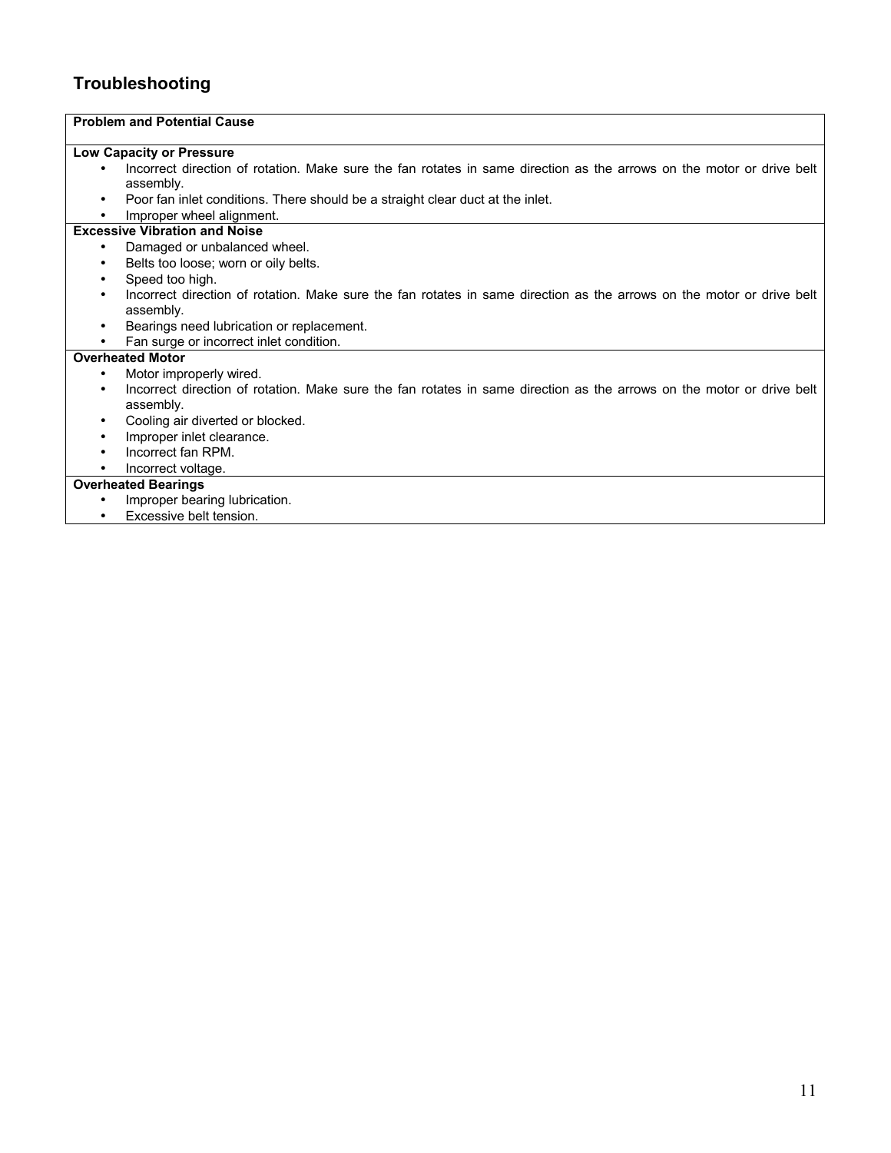### **Troubleshooting**

#### **Problem and Potential Cause Low Capacity or Pressure**  • Incorrect direction of rotation. Make sure the fan rotates in same direction as the arrows on the motor or drive belt assembly. • Poor fan inlet conditions. There should be a straight clear duct at the inlet. • Improper wheel alignment. **Excessive Vibration and Noise**  • Damaged or unbalanced wheel. • Belts too loose; worn or oily belts. • Speed too high. • Incorrect direction of rotation. Make sure the fan rotates in same direction as the arrows on the motor or drive belt assembly. • Bearings need lubrication or replacement. • Fan surge or incorrect inlet condition. **Overheated Motor**  Motor improperly wired. • Incorrect direction of rotation. Make sure the fan rotates in same direction as the arrows on the motor or drive belt assembly. • Cooling air diverted or blocked. • Improper inlet clearance. • Incorrect fan RPM. • Incorrect voltage. **Overheated Bearings** • Improper bearing lubrication. • Excessive belt tension.